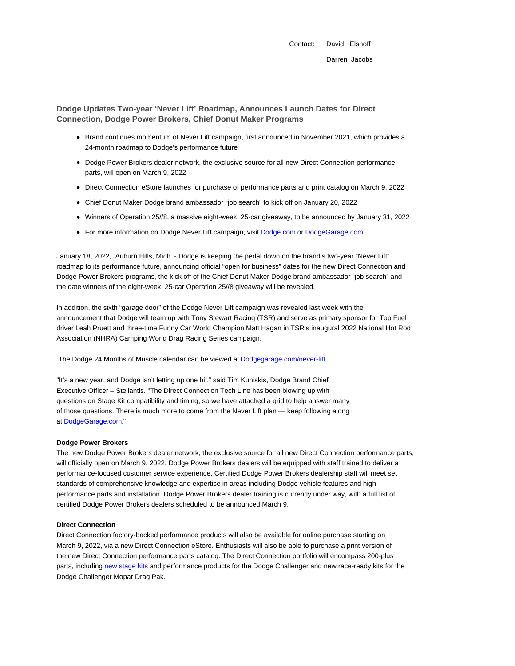**Dodge Updates Two-year 'Never Lift' Roadmap, Announces Launch Dates for Direct Connection, Dodge Power Brokers, Chief Donut Maker Programs**

- Brand continues momentum of Never Lift campaign, first announced in November 2021, which provides a 24-month roadmap to Dodge's performance future
- Dodge Power Brokers dealer network, the exclusive source for all new Direct Connection performance parts, will open on March 9, 2022
- Direct Connection eStore launches for purchase of performance parts and print catalog on March 9, 2022
- Chief Donut Maker Dodge brand ambassador "job search" to kick off on January 20, 2022
- Winners of Operation 25//8, a massive eight-week, 25-car giveaway, to be announced by January 31, 2022
- For more information on Dodge Never Lift campaign, visit Dodge.com or DodgeGarage.com

January 18, 2022, Auburn Hills, Mich. - Dodge is keeping the pedal down on the brand's two-year "Never Lift" roadmap to its performance future, announcing official "open for business" dates for the new Direct Connection and Dodge Power Brokers programs, the kick off of the Chief Donut Maker Dodge brand ambassador "job search" and the date winners of the eight-week, 25-car Operation 25//8 giveaway will be revealed.

In addition, the sixth "garage door" of the Dodge Never Lift campaign was revealed last week with the announcement that Dodge will team up with Tony Stewart Racing (TSR) and serve as primary sponsor for Top Fuel driver Leah Pruett and three-time Funny Car World Champion Matt Hagan in TSR's inaugural 2022 National Hot Rod Association (NHRA) Camping World Drag Racing Series campaign.

The Dodge 24 Months of Muscle calendar can be viewed at Dodgegarage.com/never-lift.

"It's a new year, and Dodge isn't letting up one bit," said Tim Kuniskis, Dodge Brand Chief Executive Officer – Stellantis. "The Direct Connection Tech Line has been blowing up with questions on Stage Kit compatibility and timing, so we have attached a grid to help answer many of those questions. There is much more to come from the Never Lift plan — keep following along at DodgeGarage.com."

## **Dodge Power Brokers**

The new Dodge Power Brokers dealer network, the exclusive source for all new Direct Connection performance parts, will officially open on March 9, 2022. Dodge Power Brokers dealers will be equipped with staff trained to deliver a performance-focused customer service experience. Certified Dodge Power Brokers dealership staff will meet set standards of comprehensive knowledge and expertise in areas including Dodge vehicle features and highperformance parts and installation. Dodge Power Brokers dealer training is currently under way, with a full list of certified Dodge Power Brokers dealers scheduled to be announced March 9.

## **Direct Connection**

Direct Connection factory-backed performance products will also be available for online purchase starting on March 9, 2022, via a new Direct Connection eStore. Enthusiasts will also be able to purchase a print version of the new Direct Connection performance parts catalog. The Direct Connection portfolio will encompass 200-plus parts, including new stage kits and performance products for the Dodge Challenger and new race-ready kits for the Dodge Challenger Mopar Drag Pak.